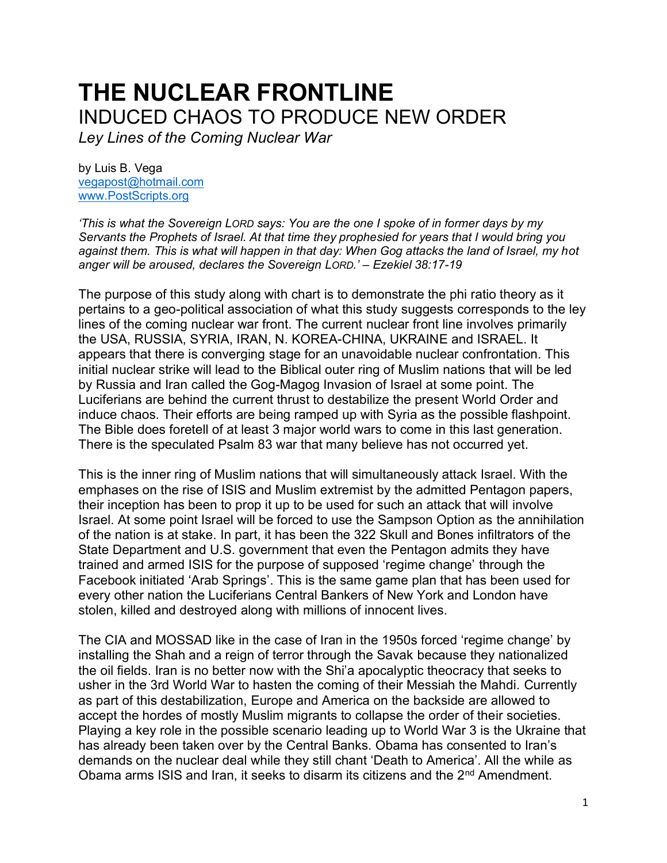## **THE NUCLEAR FRONTLINE** INDUCED CHAOS TO PRODUCE NEW ORDER

*Ley Lines of the Coming Nuclear War*

by Luis B. Vega [vegapost@hotmail.com](mailto:vegapost@hotmail.com) [www.PostScripts.org](http://www.postscripts.org/)

*'This is what the Sovereign LORD says: You are the one I spoke of in former days by my Servants the Prophets of Israel. At that time they prophesied for years that I would bring you against them. This is what will happen in that day: When Gog attacks the land of Israel, my hot anger will be aroused, declares the Sovereign LORD.' – Ezekiel 38:17-19*

The purpose of this study along with chart is to demonstrate the phi ratio theory as it pertains to a geo-political association of what this study suggests corresponds to the ley lines of the coming nuclear war front. The current nuclear front line involves primarily the USA, RUSSIA, SYRIA, IRAN, N. KOREA-CHINA, UKRAINE and ISRAEL. It appears that there is converging stage for an unavoidable nuclear confrontation. This initial nuclear strike will lead to the Biblical outer ring of Muslim nations that will be led by Russia and Iran called the Gog-Magog Invasion of Israel at some point. The Luciferians are behind the current thrust to destabilize the present World Order and induce chaos. Their efforts are being ramped up with Syria as the possible flashpoint. The Bible does foretell of at least 3 major world wars to come in this last generation. There is the speculated Psalm 83 war that many believe has not occurred yet.

This is the inner ring of Muslim nations that will simultaneously attack Israel. With the emphases on the rise of ISIS and Muslim extremist by the admitted Pentagon papers, their inception has been to prop it up to be used for such an attack that will involve Israel. At some point Israel will be forced to use the Sampson Option as the annihilation of the nation is at stake. In part, it has been the 322 Skull and Bones infiltrators of the State Department and U.S. government that even the Pentagon admits they have trained and armed ISIS for the purpose of supposed 'regime change' through the Facebook initiated 'Arab Springs'. This is the same game plan that has been used for every other nation the Luciferians Central Bankers of New York and London have stolen, killed and destroyed along with millions of innocent lives.

The CIA and MOSSAD like in the case of Iran in the 1950s forced 'regime change' by installing the Shah and a reign of terror through the Savak because they nationalized the oil fields. Iran is no better now with the Shi'a apocalyptic theocracy that seeks to usher in the 3rd World War to hasten the coming of their Messiah the Mahdi. Currently as part of this destabilization, Europe and America on the backside are allowed to accept the hordes of mostly Muslim migrants to collapse the order of their societies. Playing a key role in the possible scenario leading up to World War 3 is the Ukraine that has already been taken over by the Central Banks. Obama has consented to Iran's demands on the nuclear deal while they still chant 'Death to America'. All the while as Obama arms ISIS and Iran, it seeks to disarm its citizens and the 2<sup>nd</sup> Amendment.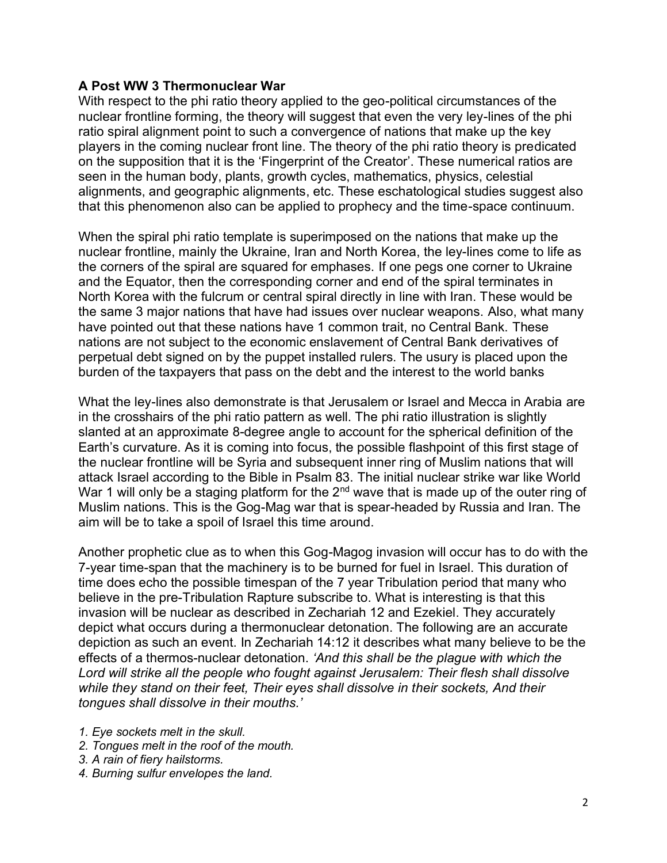## **A Post WW 3 Thermonuclear War**

With respect to the phi ratio theory applied to the geo-political circumstances of the nuclear frontline forming, the theory will suggest that even the very ley-lines of the phi ratio spiral alignment point to such a convergence of nations that make up the key players in the coming nuclear front line. The theory of the phi ratio theory is predicated on the supposition that it is the 'Fingerprint of the Creator'. These numerical ratios are seen in the human body, plants, growth cycles, mathematics, physics, celestial alignments, and geographic alignments, etc. These eschatological studies suggest also that this phenomenon also can be applied to prophecy and the time-space continuum.

When the spiral phi ratio template is superimposed on the nations that make up the nuclear frontline, mainly the Ukraine, Iran and North Korea, the ley-lines come to life as the corners of the spiral are squared for emphases. If one pegs one corner to Ukraine and the Equator, then the corresponding corner and end of the spiral terminates in North Korea with the fulcrum or central spiral directly in line with Iran. These would be the same 3 major nations that have had issues over nuclear weapons. Also, what many have pointed out that these nations have 1 common trait, no Central Bank. These nations are not subject to the economic enslavement of Central Bank derivatives of perpetual debt signed on by the puppet installed rulers. The usury is placed upon the burden of the taxpayers that pass on the debt and the interest to the world banks

What the ley-lines also demonstrate is that Jerusalem or Israel and Mecca in Arabia are in the crosshairs of the phi ratio pattern as well. The phi ratio illustration is slightly slanted at an approximate 8-degree angle to account for the spherical definition of the Earth's curvature. As it is coming into focus, the possible flashpoint of this first stage of the nuclear frontline will be Syria and subsequent inner ring of Muslim nations that will attack Israel according to the Bible in Psalm 83. The initial nuclear strike war like World War 1 will only be a staging platform for the  $2<sup>nd</sup>$  wave that is made up of the outer ring of Muslim nations. This is the Gog-Mag war that is spear-headed by Russia and Iran. The aim will be to take a spoil of Israel this time around.

Another prophetic clue as to when this Gog-Magog invasion will occur has to do with the 7-year time-span that the machinery is to be burned for fuel in Israel. This duration of time does echo the possible timespan of the 7 year Tribulation period that many who believe in the pre-Tribulation Rapture subscribe to. What is interesting is that this invasion will be nuclear as described in Zechariah 12 and Ezekiel. They accurately depict what occurs during a thermonuclear detonation. The following are an accurate depiction as such an event. In Zechariah 14:12 it describes what many believe to be the effects of a thermos-nuclear detonation. *'And this shall be the plague with which the Lord will strike all the people who fought against Jerusalem: Their flesh shall dissolve while they stand on their feet, Their eyes shall dissolve in their sockets, And their tongues shall dissolve in their mouths.'* 

- *1. Eye sockets melt in the skull.*
- *2. Tongues melt in the roof of the mouth.*
- *3. A rain of fiery hailstorms.*
- *4. Burning sulfur envelopes the land.*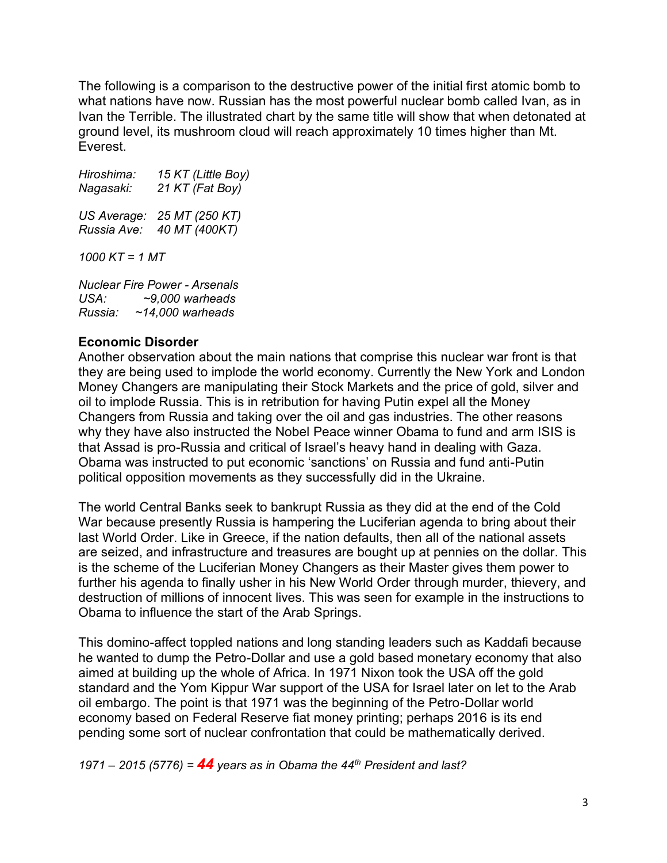The following is a comparison to the destructive power of the initial first atomic bomb to what nations have now. Russian has the most powerful nuclear bomb called Ivan, as in Ivan the Terrible. The illustrated chart by the same title will show that when detonated at ground level, its mushroom cloud will reach approximately 10 times higher than Mt. Everest.

*Hiroshima: 15 KT (Little Boy) Nagasaki: 21 KT (Fat Boy) US Average: 25 MT (250 KT) Russia Ave: 40 MT (400KT) 1000 KT = 1 MT*

*Nuclear Fire Power - Arsenals USA: ~9,000 warheads Russia: ~14,000 warheads*

## **Economic Disorder**

Another observation about the main nations that comprise this nuclear war front is that they are being used to implode the world economy. Currently the New York and London Money Changers are manipulating their Stock Markets and the price of gold, silver and oil to implode Russia. This is in retribution for having Putin expel all the Money Changers from Russia and taking over the oil and gas industries. The other reasons why they have also instructed the Nobel Peace winner Obama to fund and arm ISIS is that Assad is pro-Russia and critical of Israel's heavy hand in dealing with Gaza. Obama was instructed to put economic 'sanctions' on Russia and fund anti-Putin political opposition movements as they successfully did in the Ukraine.

The world Central Banks seek to bankrupt Russia as they did at the end of the Cold War because presently Russia is hampering the Luciferian agenda to bring about their last World Order. Like in Greece, if the nation defaults, then all of the national assets are seized, and infrastructure and treasures are bought up at pennies on the dollar. This is the scheme of the Luciferian Money Changers as their Master gives them power to further his agenda to finally usher in his New World Order through murder, thievery, and destruction of millions of innocent lives. This was seen for example in the instructions to Obama to influence the start of the Arab Springs.

This domino-affect toppled nations and long standing leaders such as Kaddafi because he wanted to dump the Petro-Dollar and use a gold based monetary economy that also aimed at building up the whole of Africa. In 1971 Nixon took the USA off the gold standard and the Yom Kippur War support of the USA for Israel later on let to the Arab oil embargo. The point is that 1971 was the beginning of the Petro-Dollar world economy based on Federal Reserve fiat money printing; perhaps 2016 is its end pending some sort of nuclear confrontation that could be mathematically derived.

*1971 – 2015 (5776) = 44 years as in Obama the 44th President and last?*